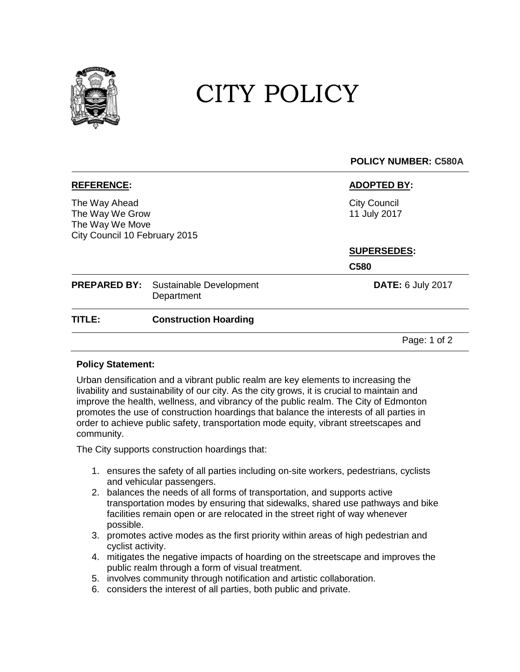

# CITY POLICY

## **POLICY NUMBER: C580A**

The Way Ahead The Way We Grow The Way We Move City Council 10 February 2015

### **REFERENCE: ADOPTED BY:**

City Council 11 July 2017

### **SUPERSEDES:**

**C580**

|        | <b>PREPARED BY:</b> Sustainable Development<br>Department | <b>DATE: 6 July 2017</b> |
|--------|-----------------------------------------------------------|--------------------------|
| TITLE: | <b>Construction Hoarding</b>                              |                          |
|        |                                                           | Page: 1 of 2             |

### **Policy Statement:**

Urban densification and a vibrant public realm are key elements to increasing the livability and sustainability of our city. As the city grows, it is crucial to maintain and improve the health, wellness, and vibrancy of the public realm. The City of Edmonton promotes the use of construction hoardings that balance the interests of all parties in order to achieve public safety, transportation mode equity, vibrant streetscapes and community.

The City supports construction hoardings that:

- 1. ensures the safety of all parties including on-site workers, pedestrians, cyclists and vehicular passengers.
- 2. balances the needs of all forms of transportation, and supports active transportation modes by ensuring that sidewalks, shared use pathways and bike facilities remain open or are relocated in the street right of way whenever possible.
- 3. promotes active modes as the first priority within areas of high pedestrian and cyclist activity.
- 4. mitigates the negative impacts of hoarding on the streetscape and improves the public realm through a form of visual treatment.
- 5. involves community through notification and artistic collaboration.
- 6. considers the interest of all parties, both public and private.